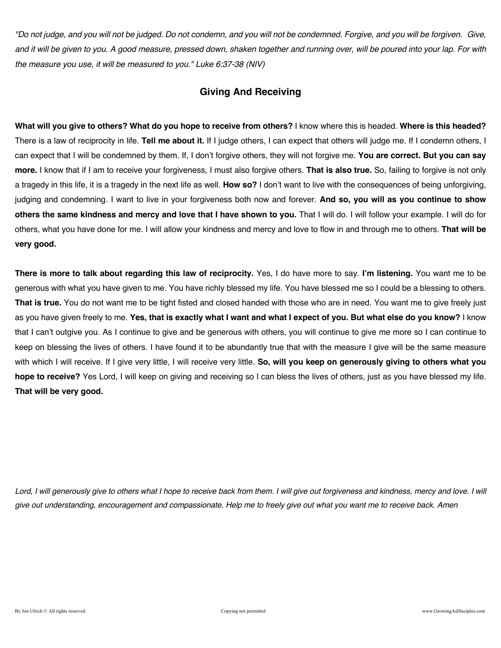*"Do not judge, and you will not be judged. Do not condemn, and you will not be condemned. Forgive, and you will be forgiven. Give, and it will be given to you. A good measure, pressed down, shaken together and running over, will be poured into your lap. For with the measure you use, it will be measured to you." Luke 6:37-38 (NIV)* 

### **Giving And Receiving**

**What will you give to others? What do you hope to receive from others?** I know where this is headed. **Where is this headed?**  There is a law of reciprocity in life. **Tell me about it.** If I judge others, I can expect that others will judge me. If I condemn others, I can expect that I will be condemned by them. If, I don't forgive others, they will not forgive me. **You are correct. But you can say more.** I know that if I am to receive your forgiveness, I must also forgive others. **That is also true.** So, failing to forgive is not only a tragedy in this life, it is a tragedy in the next life as well. **How so?** I don't want to live with the consequences of being unforgiving, judging and condemning. I want to live in your forgiveness both now and forever. **And so, you will as you continue to show others the same kindness and mercy and love that I have shown to you.** That I will do. I will follow your example. I will do for others, what you have done for me. I will allow your kindness and mercy and love to flow in and through me to others. **That will be very good.**

**There is more to talk about regarding this law of reciprocity.** Yes, I do have more to say. **I'm listening.** You want me to be generous with what you have given to me. You have richly blessed my life. You have blessed me so I could be a blessing to others. **That is true.** You do not want me to be tight fisted and closed handed with those who are in need. You want me to give freely just as you have given freely to me. **Yes, that is exactly what I want and what I expect of you. But what else do you know?** I know that I can't outgive you. As I continue to give and be generous with others, you will continue to give me more so I can continue to keep on blessing the lives of others. I have found it to be abundantly true that with the measure I give will be the same measure with which I will receive. If I give very little, I will receive very little. **So, will you keep on generously giving to others what you hope to receive?** Yes Lord, I will keep on giving and receiving so I can bless the lives of others, just as you have blessed my life. **That will be very good.**

Lord, I will generously give to others what I hope to receive back from them. I will give out forgiveness and kindness, mercy and love. I will *give out understanding, encouragement and compassionate. Help me to freely give out what you want me to receive back. Amen*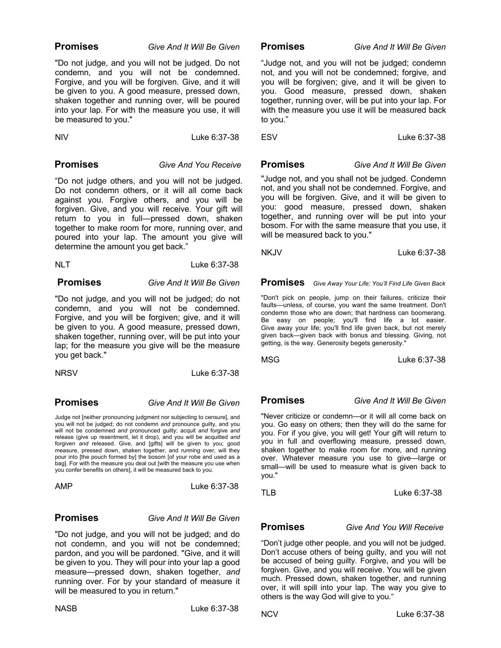### **Promises** *Give And It Will Be Given*

"Do not judge, and you will not be judged. Do not condemn, and you will not be condemned. Forgive, and you will be forgiven. Give, and it will be given to you. A good measure, pressed down, shaken together and running over, will be poured into your lap. For with the measure you use, it will be measured to you."

NIV Luke 6:37-38

### **Promises** *Give And You Receive*

"Do not judge others, and you will not be judged. Do not condemn others, or it will all come back against you. Forgive others, and you will be forgiven. Give, and you will receive. Your gift will return to you in full—pressed down, shaken together to make room for more, running over, and poured into your lap. The amount you give will determine the amount you get back."

| Luke 6:37-38 |
|--------------|
|              |

### **Promises** *Give And It Will Be Given*

"Do not judge, and you will not be judged; do not condemn, and you will not be condemned. Forgive, and you will be forgiven; give, and it will be given to you. A good measure, pressed down, shaken together, running over, will be put into your lap; for the measure you give will be the measure you get back."

NRSV Luke 6:37-38

### **Promises** *Give And It Will Be Given*

Judge not [neither pronouncing judgment nor subjecting to censure], and you will not be judged; do not condemn *and* pronounce guilty, and you will not be condemned *and* pronounced guilty; acquit *and* forgive *and* release (give up resentment, let it drop), and you will be acquitted *and* forgiven *and* released. Give, and [gifts] will be given to you; good measure, pressed down, shaken together, and running over, will they pour into [the pouch formed by] the bosom [of your robe and used as a bag]. For with the measure you deal out [with the measure you use when you confer benefits on others], it will be measured back to you.

| AMP | Luke 6:37-38 |
|-----|--------------|
|     |              |

### **Promises** *Give And It Will Be Given*

"Do not judge, and you will not be judged; and do not condemn, and you will not be condemned; pardon, and you will be pardoned. "Give, and it will be given to you. They will pour into your lap a good measure—pressed down, shaken together, *and* running over. For by your standard of measure it will be measured to you in return."

 **Promises** *Give And It Will Be Given*

"Judge not, and you will not be judged; condemn not, and you will not be condemned; forgive, and you will be forgiven; give, and it will be given to you. Good measure, pressed down, shaken together, running over, will be put into your lap. For with the measure you use it will be measured back to you."

ESV Luke 6:37-38

"Judge not, and you shall not be judged. Condemn not, and you shall not be condemned. Forgive, and you will be forgiven. Give, and it will be given to you: good measure, pressed down, shaken together, and running over will be put into your bosom. For with the same measure that you use, it will be measured back to you."

 **Promises** *Give And It Will Be Given*

NKJV Luke 6:37-38

 **Promises** *Give Away Your Life; You'll Find Life Given Back*

"Don't pick on people, jump on their failures, criticize their faults—unless, of course, you want the same treatment. Don't condemn those who are down; that hardness can boomerang. Be easy on people; you'll find life a lot easier. Give away your life; you'll find life given back, but not merely given back—given back with bonus and blessing. Giving, not getting, is the way. Generosity begets generosity."

MSG Luke 6:37-38

 **Promises** *Give And It Will Be Given*

"Never criticize or condemn—or it will all come back on you. Go easy on others; then they will do the same for you. For if you give, you will get! Your gift will return to you in full and overflowing measure, pressed down, shaken together to make room for more, and running over. Whatever measure you use to give—large or small—will be used to measure what is given back to you."

TLBLuke 6:37-38

 **Promises** *Give And You Will Receive*

"Don't judge other people, and you will not be judged. Don't accuse others of being guilty, and you will not be accused of being guilty. Forgive, and you will be forgiven. Give, and you will receive. You will be given much. Pressed down, shaken together, and running over, it will spill into your lap. The way you give to others is the way God will give to you."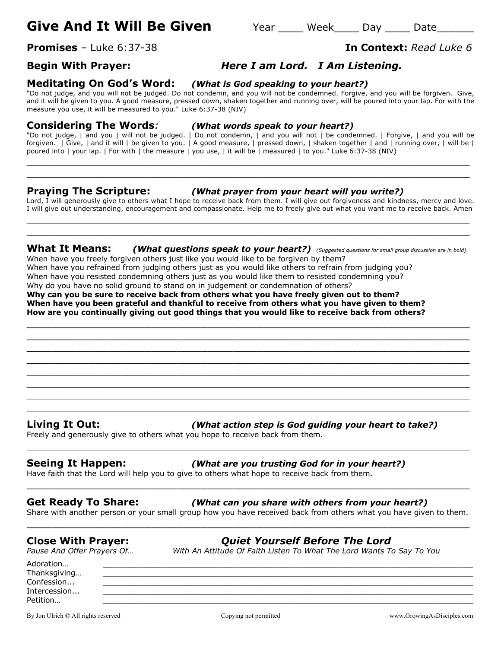# **Give And It Will Be Given** Year Week Day Date

**Promises** – Luke 6:37-38 **In Context:** *Read Luke 6*

## **Begin With Prayer:** *Here I am Lord. I Am Listening.*

### **Meditating On God's Word:** *(What is God speaking to your heart?)*

"Do not judge, and you will not be judged. Do not condemn, and you will not be condemned. Forgive, and you will be forgiven. Give, and it will be given to you. A good measure, pressed down, shaken together and running over, will be poured into your lap. For with the measure you use, it will be measured to you." Luke 6:37-38 (NIV)

### **Considering The Words***: (What words speak to your heart?)*

"Do not judge, | and you | will not be judged. | Do not condemn, | and you will not | be condemned. | Forgive, | and you will be forgiven. | Give, | and it will | be given to you. | A good measure, | pressed down, | shaken together | and | running over, | will be | poured into | your lap. | For with | the measure | you use, | it will be | measured | to you." Luke 6:37-38 (NIV)

 $\_$  , and the contribution of the contribution of  $\mathcal{L}$  , and  $\mathcal{L}$  , and  $\mathcal{L}$  , and  $\mathcal{L}$  , and  $\mathcal{L}$  , and  $\mathcal{L}$  , and  $\mathcal{L}$  , and  $\mathcal{L}$  , and  $\mathcal{L}$  , and  $\mathcal{L}$  , and  $\mathcal{L}$  , and  $\mathcal{L$  $\_$  , and the set of the set of the set of the set of the set of the set of the set of the set of the set of the set of the set of the set of the set of the set of the set of the set of the set of the set of the set of th

### **Praying The Scripture:** *(What prayer from your heart will you write?)*

Lord, I will generously give to others what I hope to receive back from them. I will give out forgiveness and kindness, mercy and love. I will give out understanding, encouragement and compassionate. Help me to freely give out what you want me to receive back. Amen \_\_\_\_\_\_\_\_\_\_\_\_\_\_\_\_\_\_\_\_\_\_\_\_\_\_\_\_\_\_\_\_\_\_\_\_\_\_\_\_\_\_\_\_\_\_\_\_\_\_\_\_\_\_\_\_\_\_\_\_\_\_\_\_\_\_\_\_\_\_\_

**What It Means:** *(What questions speak to your heart?) (Suggested questions for small group discussion are in bold)* When have you freely forgiven others just like you would like to be forgiven by them?

 $\_$  , and the contribution of the contribution of  $\mathcal{L}$  , and  $\mathcal{L}$  , and  $\mathcal{L}$  , and  $\mathcal{L}$  , and  $\mathcal{L}$  , and  $\mathcal{L}$  , and  $\mathcal{L}$  , and  $\mathcal{L}$  , and  $\mathcal{L}$  , and  $\mathcal{L}$  , and  $\mathcal{L}$  , and  $\mathcal{L$  $\_$  , and the set of the set of the set of the set of the set of the set of the set of the set of the set of the set of the set of the set of the set of the set of the set of the set of the set of the set of the set of th  $\_$  , and the contribution of the contribution of  $\mathcal{L}$  , and  $\mathcal{L}$  , and  $\mathcal{L}$  , and  $\mathcal{L}$  , and  $\mathcal{L}$  , and  $\mathcal{L}$  , and  $\mathcal{L}$  , and  $\mathcal{L}$  , and  $\mathcal{L}$  , and  $\mathcal{L}$  , and  $\mathcal{L}$  , and  $\mathcal{L$ \_\_\_\_\_\_\_\_\_\_\_\_\_\_\_\_\_\_\_\_\_\_\_\_\_\_\_\_\_\_\_\_\_\_\_\_\_\_\_\_\_\_\_\_\_\_\_\_\_\_\_\_\_\_\_\_\_\_\_\_\_\_\_\_\_\_\_\_\_\_\_ \_\_\_\_\_\_\_\_\_\_\_\_\_\_\_\_\_\_\_\_\_\_\_\_\_\_\_\_\_\_\_\_\_\_\_\_\_\_\_\_\_\_\_\_\_\_\_\_\_\_\_\_\_\_\_\_\_\_\_\_\_\_\_\_\_\_\_\_\_\_\_ \_\_\_\_\_\_\_\_\_\_\_\_\_\_\_\_\_\_\_\_\_\_\_\_\_\_\_\_\_\_\_\_\_\_\_\_\_\_\_\_\_\_\_\_\_\_\_\_\_\_\_\_\_\_\_\_\_\_\_\_\_\_\_\_\_\_\_\_\_\_\_ \_\_\_\_\_\_\_\_\_\_\_\_\_\_\_\_\_\_\_\_\_\_\_\_\_\_\_\_\_\_\_\_\_\_\_\_\_\_\_\_\_\_\_\_\_\_\_\_\_\_\_\_\_\_\_\_\_\_\_\_\_\_\_\_\_\_\_\_\_\_\_ \_\_\_\_\_\_\_\_\_\_\_\_\_\_\_\_\_\_\_\_\_\_\_\_\_\_\_\_\_\_\_\_\_\_\_\_\_\_\_\_\_\_\_\_\_\_\_\_\_\_\_\_\_\_\_\_\_\_\_\_\_\_\_\_\_\_\_\_\_\_\_

 $\_$  , and the set of the set of the set of the set of the set of the set of the set of the set of the set of the set of the set of the set of the set of the set of the set of the set of the set of the set of the set of th

When have you refrained from judging others just as you would like others to refrain from judging you? When have you resisted condemning others just as you would like them to resisted condemning you? Why do you have no solid ground to stand on in judgement or condemnation of others?

**Why can you be sure to receive back from others what you have freely given out to them? When have you been grateful and thankful to receive from others what you have given to them? How are you continually giving out good things that you would like to receive back from others?**

**Living It Out:** *(What action step is God guiding your heart to take?)*

Freely and generously give to others what you hope to receive back from them.

### **Seeing It Happen:** *(What are you trusting God for in your heart?)*

Have faith that the Lord will help you to give to others what hope to receive back from them.

### **Get Ready To Share:** *(What can you share with others from your heart?)*

Share with another person or your small group how you have received back from others what you have given to them. \_\_\_\_\_\_\_\_\_\_\_\_\_\_\_\_\_\_\_\_\_\_\_\_\_\_\_\_\_\_\_\_\_\_\_\_\_\_\_\_\_\_\_\_\_\_\_\_\_\_\_\_\_\_\_\_\_\_\_\_\_\_\_\_\_\_\_\_\_\_\_

\_\_\_\_\_\_\_\_\_\_\_\_\_\_\_\_\_\_\_\_\_\_\_\_\_\_\_\_\_\_\_\_\_\_\_\_\_\_\_\_\_\_\_\_\_\_\_\_\_\_\_\_\_\_\_\_\_\_\_\_\_\_\_\_\_\_\_\_\_\_\_

\_\_\_\_\_\_\_\_\_\_\_\_\_\_\_\_\_\_\_\_\_\_\_\_\_\_\_\_\_\_\_\_\_\_\_\_\_\_\_\_\_\_\_\_\_\_\_\_\_\_\_\_\_\_\_\_\_\_\_\_\_\_\_\_\_\_\_\_\_\_\_

**Close With Prayer:** *Quiet Yourself Before The Lord Pause And Offer Prayers Of… With An Attitude Of Faith Listen To What The Lord Wants To Say To You*

Adoration… \_\_\_\_\_\_\_\_\_\_\_\_\_\_\_\_\_\_\_\_\_\_\_\_\_\_\_\_\_\_\_\_\_\_\_\_\_\_\_\_\_\_\_\_\_\_\_\_\_\_\_\_\_\_\_\_\_\_\_\_\_\_\_\_\_\_\_\_\_\_\_\_\_\_\_\_\_\_\_ Thanksgiving...

By Jon Ulrich © All rights reserved copying not permitted www.GrowingAsDisciples.com

Confession... \_\_\_\_\_\_\_\_\_\_\_\_\_\_\_\_\_\_\_\_\_\_\_\_\_\_\_\_\_\_\_\_\_\_\_\_\_\_\_\_\_\_\_\_\_\_\_\_\_\_\_\_\_\_\_\_\_\_\_\_\_\_\_\_\_\_\_\_\_\_\_\_\_\_\_\_\_\_\_ Intercession... \_\_\_\_\_\_\_\_\_\_\_\_\_\_\_\_\_\_\_\_\_\_\_\_\_\_\_\_\_\_\_\_\_\_\_\_\_\_\_\_\_\_\_\_\_\_\_\_\_\_\_\_\_\_\_\_\_\_\_\_\_\_\_\_\_\_\_\_\_\_\_\_\_\_\_\_\_\_\_